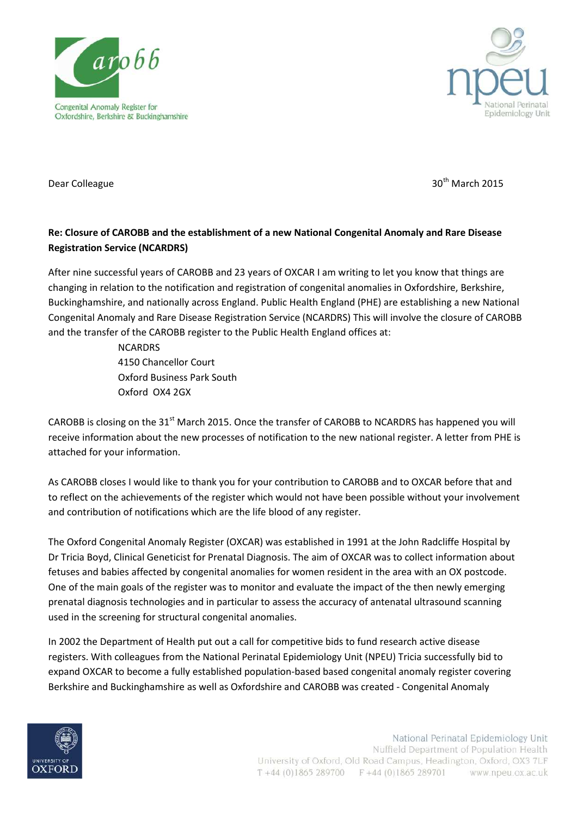



Dear Colleague 30<sup>th</sup> March 2015

## **Re: Closure of CAROBB and the establishment of a new National Congenital Anomaly and Rare Disease Registration Service (NCARDRS)**

After nine successful years of CAROBB and 23 years of OXCAR I am writing to let you know that things are changing in relation to the notification and registration of congenital anomalies in Oxfordshire, Berkshire, Buckinghamshire, and nationally across England. Public Health England (PHE) are establishing a new National Congenital Anomaly and Rare Disease Registration Service (NCARDRS) This will involve the closure of CAROBB and the transfer of the CAROBB register to the Public Health England offices at:

> **NCARDRS** 4150 Chancellor Court Oxford Business Park South Oxford OX4 2GX

CAROBB is closing on the 31 $^{st}$  March 2015. Once the transfer of CAROBB to NCARDRS has happened you will receive information about the new processes of notification to the new national register. A letter from PHE is attached for your information.

As CAROBB closes I would like to thank you for your contribution to CAROBB and to OXCAR before that and to reflect on the achievements of the register which would not have been possible without your involvement and contribution of notifications which are the life blood of any register.

The Oxford Congenital Anomaly Register (OXCAR) was established in 1991 at the John Radcliffe Hospital by Dr Tricia Boyd, Clinical Geneticist for Prenatal Diagnosis. The aim of OXCAR was to collect information about fetuses and babies affected by congenital anomalies for women resident in the area with an OX postcode. One of the main goals of the register was to monitor and evaluate the impact of the then newly emerging prenatal diagnosis technologies and in particular to assess the accuracy of antenatal ultrasound scanning used in the screening for structural congenital anomalies.

In 2002 the Department of Health put out a call for competitive bids to fund research active disease registers. With colleagues from the National Perinatal Epidemiology Unit (NPEU) Tricia successfully bid to expand OXCAR to become a fully established population-based based congenital anomaly register covering Berkshire and Buckinghamshire as well as Oxfordshire and CAROBB was created - Congenital Anomaly

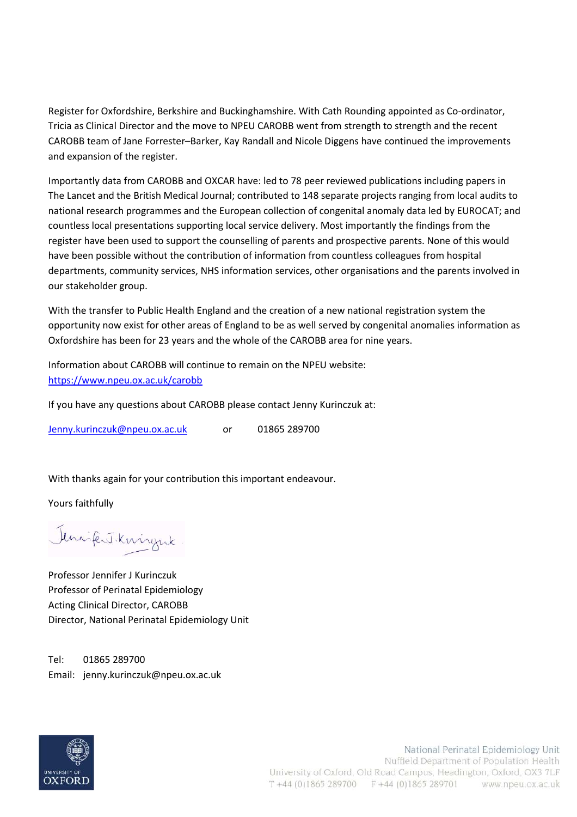Register for Oxfordshire, Berkshire and Buckinghamshire. With Cath Rounding appointed as Co-ordinator, Tricia as Clinical Director and the move to NPEU CAROBB went from strength to strength and the recent CAROBB team of Jane Forrester–Barker, Kay Randall and Nicole Diggens have continued the improvements and expansion of the register.

Importantly data from CAROBB and OXCAR have: led to 78 peer reviewed publications including papers in The Lancet and the British Medical Journal; contributed to 148 separate projects ranging from local audits to national research programmes and the European collection of congenital anomaly data led by EUROCAT; and countless local presentations supporting local service delivery. Most importantly the findings from the register have been used to support the counselling of parents and prospective parents. None of this would have been possible without the contribution of information from countless colleagues from hospital departments, community services, NHS information services, other organisations and the parents involved in our stakeholder group.

With the transfer to Public Health England and the creation of a new national registration system the opportunity now exist for other areas of England to be as well served by congenital anomalies information as Oxfordshire has been for 23 years and the whole of the CAROBB area for nine years.

Information about CAROBB will continue to remain on the NPEU website: <https://www.npeu.ox.ac.uk/carobb>

If you have any questions about CAROBB please contact Jenny Kurinczuk at:

[Jenny.kurinczuk@npeu.ox.ac.uk](mailto:Jenny.kurinczuk@npeu.ox.ac.uk) or 01865 289700

With thanks again for your contribution this important endeavour.

Yours faithfully

Jennifert Kningerk

Professor Jennifer J Kurinczuk Professor of Perinatal Epidemiology Acting Clinical Director, CAROBB Director, National Perinatal Epidemiology Unit

Tel: 01865 289700 Email: jenny.kurinczuk@npeu.ox.ac.uk

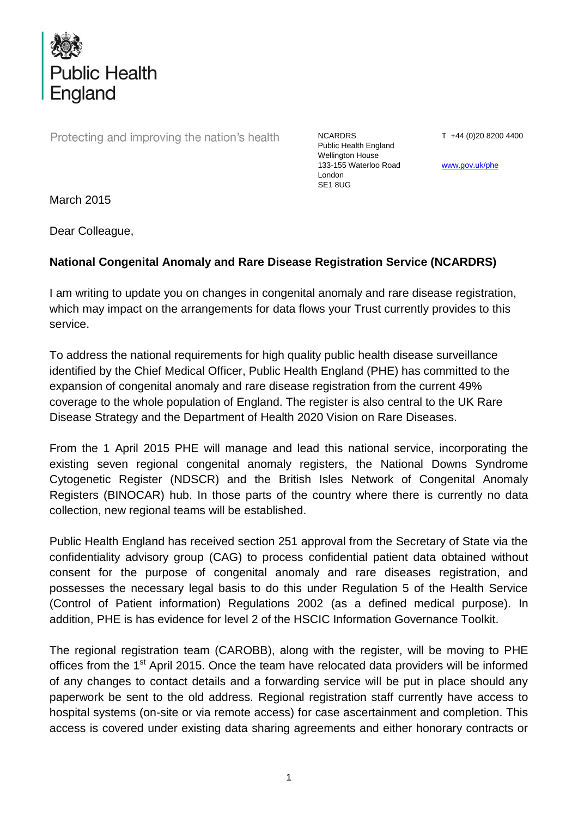

Protecting and improving the nation's health

NCARDRS Public Health England Wellington House 133-155 Waterloo Road London SE1 8UG

T +44 (0)20 8200 4400

[www.gov.uk/phe](http://www.gov.uk/phe)

March 2015

Dear Colleague,

## **National Congenital Anomaly and Rare Disease Registration Service (NCARDRS)**

I am writing to update you on changes in congenital anomaly and rare disease registration, which may impact on the arrangements for data flows your Trust currently provides to this service.

To address the national requirements for high quality public health disease surveillance identified by the Chief Medical Officer, Public Health England (PHE) has committed to the expansion of congenital anomaly and rare disease registration from the current 49% coverage to the whole population of England. The register is also central to the UK Rare Disease Strategy and the Department of Health 2020 Vision on Rare Diseases.

From the 1 April 2015 PHE will manage and lead this national service, incorporating the existing seven regional congenital anomaly registers, the National Downs Syndrome Cytogenetic Register (NDSCR) and the British Isles Network of Congenital Anomaly Registers (BINOCAR) hub. In those parts of the country where there is currently no data collection, new regional teams will be established.

Public Health England has received section 251 approval from the Secretary of State via the confidentiality advisory group (CAG) to process confidential patient data obtained without consent for the purpose of congenital anomaly and rare diseases registration, and possesses the necessary legal basis to do this under Regulation 5 of the Health Service (Control of Patient information) Regulations 2002 (as a defined medical purpose). In addition, PHE is has evidence for level 2 of the HSCIC Information Governance Toolkit.

The regional registration team (CAROBB), along with the register, will be moving to PHE offices from the 1<sup>st</sup> April 2015. Once the team have relocated data providers will be informed of any changes to contact details and a forwarding service will be put in place should any paperwork be sent to the old address. Regional registration staff currently have access to hospital systems (on-site or via remote access) for case ascertainment and completion. This access is covered under existing data sharing agreements and either honorary contracts or